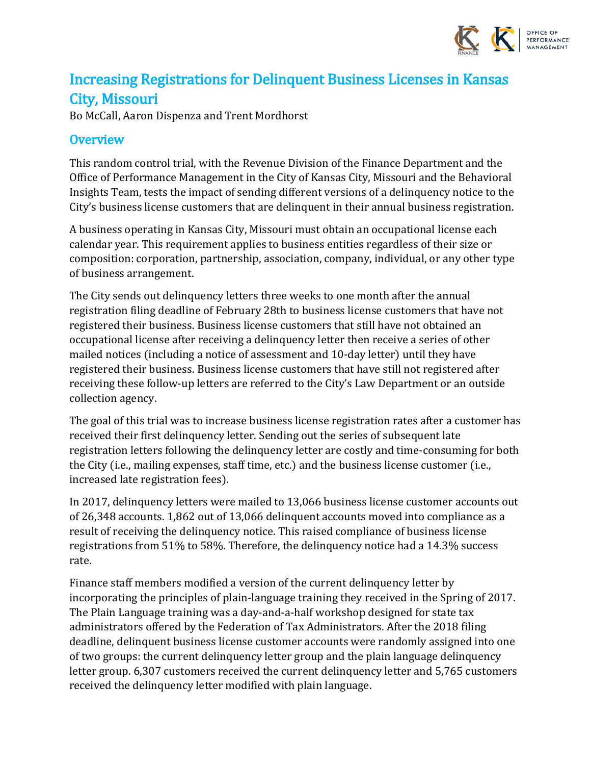

# Increasing Registrations for Delinquent Business Licenses in Kansas City, Missouri

Bo McCall, Aaron Dispenza and Trent Mordhorst

# **Overview**

This random control trial, with the Revenue Division of the Finance Department and the Office of Performance Management in the City of Kansas City, Missouri and the Behavioral Insights Team, tests the impact of sending different versions of a delinquency notice to the City's business license customers that are delinquent in their annual business registration.

A business operating in Kansas City, Missouri must obtain an occupational license each calendar year. This requirement applies to business entities regardless of their size or composition: corporation, partnership, association, company, individual, or any other type of business arrangement.

The City sends out delinquency letters three weeks to one month after the annual registration filing deadline of February 28th to business license customers that have not registered their business. Business license customers that still have not obtained an occupational license after receiving a delinquency letter then receive a series of other mailed notices (including a notice of assessment and 10-day letter) until they have registered their business. Business license customers that have still not registered after receiving these follow-up letters are referred to the City's Law Department or an outside collection agency.

The goal of this trial was to increase business license registration rates after a customer has received their first delinquency letter. Sending out the series of subsequent late registration letters following the delinquency letter are costly and time-consuming for both the City (i.e., mailing expenses, staff time, etc.) and the business license customer (i.e., increased late registration fees).

In 2017, delinquency letters were mailed to 13,066 business license customer accounts out of 26,348 accounts. 1,862 out of 13,066 delinquent accounts moved into compliance as a result of receiving the delinquency notice. This raised compliance of business license registrations from 51% to 58%. Therefore, the delinquency notice had a 14.3% success rate.

Finance staff members modified a version of the current delinquency letter by incorporating the principles of plain-language training they received in the Spring of 2017. The Plain Language training was a day-and-a-half workshop designed for state tax administrators offered by the Federation of Tax Administrators. After the 2018 filing deadline, delinquent business license customer accounts were randomly assigned into one of two groups: the current delinquency letter group and the plain language delinquency letter group. 6,307 customers received the current delinquency letter and 5,765 customers received the delinquency letter modified with plain language.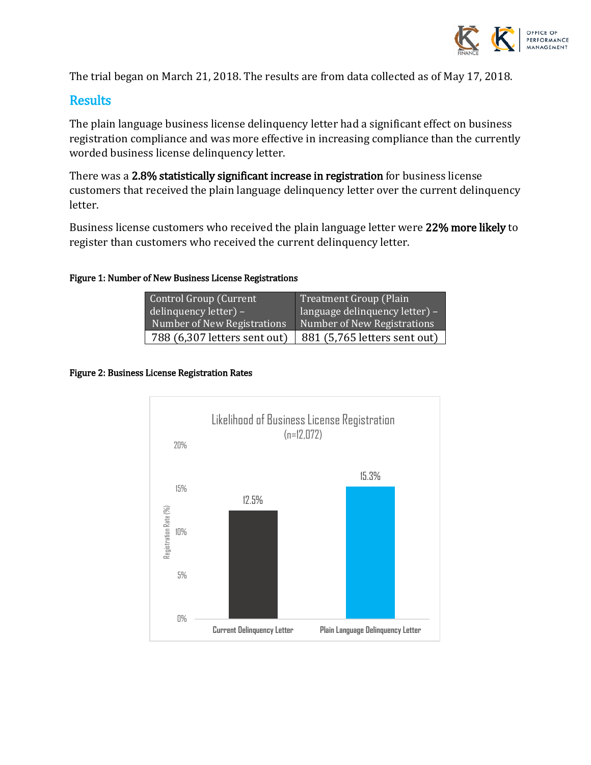

The trial began on March 21, 2018. The results are from data collected as of May 17, 2018.

### **Results**

The plain language business license delinquency letter had a significant effect on business registration compliance and was more effective in increasing compliance than the currently worded business license delinquency letter.

There was a 2.8% statistically significant increase in registration for business license customers that received the plain language delinquency letter over the current delinquency letter.

Business license customers who received the plain language letter were 22% more likely to register than customers who received the current delinquency letter.

#### Figure 1: Number of New Business License Registrations

| Control Group (Current<br>$\frac{1}{2}$ delinquency letter) – | Treatment Group (Plain<br>language delinquency letter) - |
|---------------------------------------------------------------|----------------------------------------------------------|
| <b>Number of New Registrations</b>                            | Number of New Registrations                              |
| 788 (6,307 letters sent out)                                  | 881 (5,765 letters sent out)                             |

#### Figure 2: Business License Registration Rates

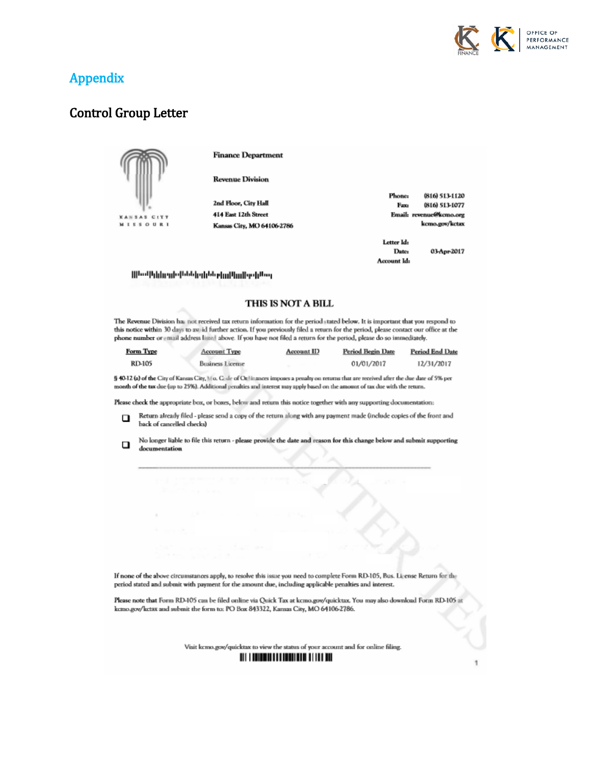

# **Appendix**

### **Control Group Letter**



**Finance Department** 

**Revenue Division** 

| 2nd Floor, City Hall       |  |
|----------------------------|--|
| 414 East 12th Street       |  |
| Kansas City, MO 64106-2786 |  |

|             | Email: revenue@kcmo.org |
|-------------|-------------------------|
|             | kcmo.gov/kctax          |
| Letter Id:  |                         |
| Date:       | 03-Apr-2017             |
| Account Id: |                         |

**Phone** 

Fax:

(816) 513-1120

(816) 513-1077

#### Mhodhlainnis (bbb) eildb ein Pinifes lähor

#### THIS IS NOT A BILL

The Revenue Division has not received tax return information for the period stated below. It is important that you respond to this notice within 30 days to avaid further action. If you previously filed a return for the period, please contact our office at the phone number or email address listel above. If you have not filed a return for the period, please do so immediately.

| Form Type     | Account Type            | <b>Account ID</b> | <b>Period Begin Date</b> | <b>Period End Date</b> |
|---------------|-------------------------|-------------------|--------------------------|------------------------|
| <b>RD-105</b> | <b>Business License</b> |                   | 01/01/2017               | 12/31/2017             |

§ 40-12 (a) of the City of Kansus City, V o. C. de of Ot linances imposes a penalty on returns that are received after the due date of 5% per month of the tax due (up to 25%). Additional penalties and interest may apply based on the amount of tax due with the return.

Please check the appropriate box, or boxes, below and return this notice together with any supporting documentation:

- Return already filed please send a copy of the return along with any payment made (include copies of the front and ο back of cancelled checks)
- No longer liable to file this return please provide the date and reason for this change below and submit supporting  $\Box$ documentation

If none of the above circumstances apply, to resolve this issue you need to complete Form RD-105, Bus. License Return for the period stated and submit with payment for the amount due, including applicable penalties and interest.

Please note that Form RD-105 can be filed online via Quick Tax at kcmo.gov/quicktax. You may also download Form RD-105 at kemo.gov/ketax and submit the form to: PO Box 843322, Kansas City, MO 64106-2786.

Visit kcmo.gov/quicktax to view the status of your account and for online filing.